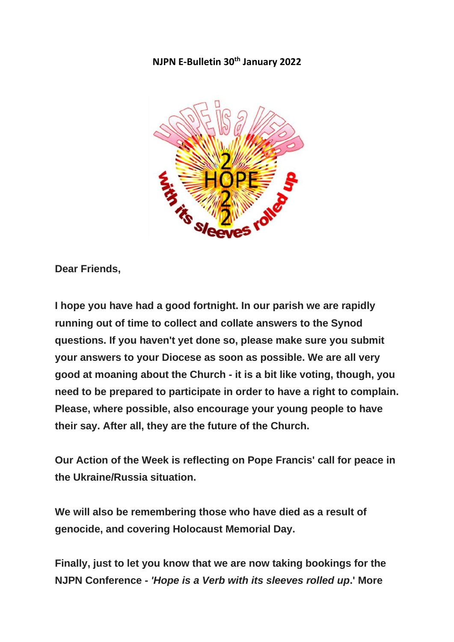### **NJPN E-Bulletin 30th January 2022**



**Dear Friends,**

**I hope you have had a good fortnight. In our parish we are rapidly running out of time to collect and collate answers to the Synod questions. If you haven't yet done so, please make sure you submit your answers to your Diocese as soon as possible. We are all very good at moaning about the Church - it is a bit like voting, though, you need to be prepared to participate in order to have a right to complain. Please, where possible, also encourage your young people to have their say. After all, they are the future of the Church.**

**Our Action of the Week is reflecting on Pope Francis' call for peace in the Ukraine/Russia situation.**

**We will also be remembering those who have died as a result of genocide, and covering Holocaust Memorial Day.**

**Finally, just to let you know that we are now taking bookings for the NJPN Conference -** *'Hope is a Verb with its sleeves rolled up***.' More**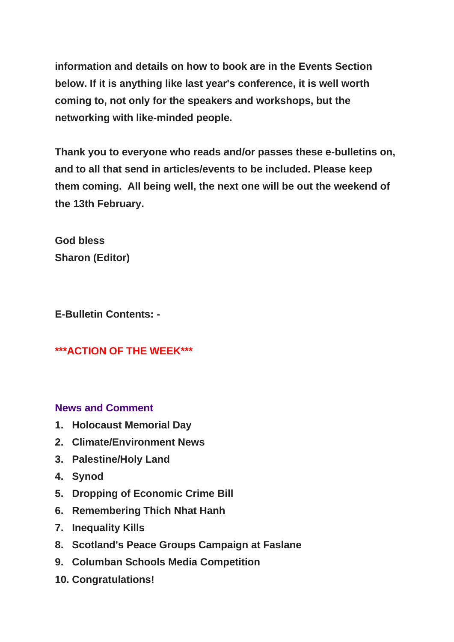**information and details on how to book are in the Events Section below. If it is anything like last year's conference, it is well worth coming to, not only for the speakers and workshops, but the networking with like-minded people.**

**Thank you to everyone who reads and/or passes these e-bulletins on, and to all that send in articles/events to be included. Please keep them coming. All being well, the next one will be out the weekend of the 13th February.**

**God bless Sharon (Editor)**

**E-Bulletin Contents: -**

# **\*\*\*ACTION OF THE WEEK\*\*\***

# **News and Comment**

- **1. Holocaust Memorial Day**
- **2. Climate/Environment News**
- **3. Palestine/Holy Land**
- **4. Synod**
- **5. Dropping of Economic Crime Bill**
- **6. Remembering Thich Nhat Hanh**
- **7. Inequality Kills**
- **8. Scotland's Peace Groups Campaign at Faslane**
- **9. Columban Schools Media Competition**
- **10. Congratulations!**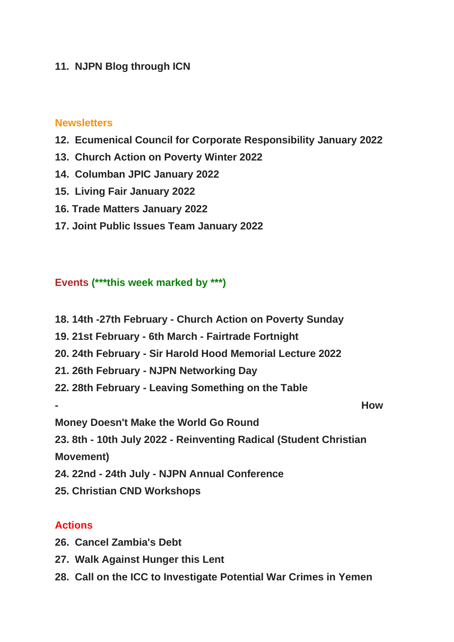### **11. NJPN Blog through ICN**

### **Newsletters**

- **12. Ecumenical Council for Corporate Responsibility January 2022**
- **13. Church Action on Poverty Winter 2022**
- **14. Columban JPIC January 2022**
- **15. Living Fair January 2022**
- **16. Trade Matters January 2022**
- **17. Joint Public Issues Team January 2022**

## **Events (\*\*\*this week marked by \*\*\*)**

**18. 14th -27th February - Church Action on Poverty Sunday 19. 21st February - 6th March - Fairtrade Fortnight 20. 24th February - Sir Harold Hood Memorial Lecture 2022 21. 26th February - NJPN Networking Day 22. 28th February - Leaving Something on the Table - How Money Doesn't Make the World Go Round 23. 8th - 10th July 2022 - Reinventing Radical (Student Christian Movement) 24. 22nd - 24th July - NJPN Annual Conference 25. Christian CND Workshops**

### **Actions**

- **26. Cancel Zambia's Debt**
- **27. Walk Against Hunger this Lent**
- **28. Call on the ICC to Investigate Potential War Crimes in Yemen**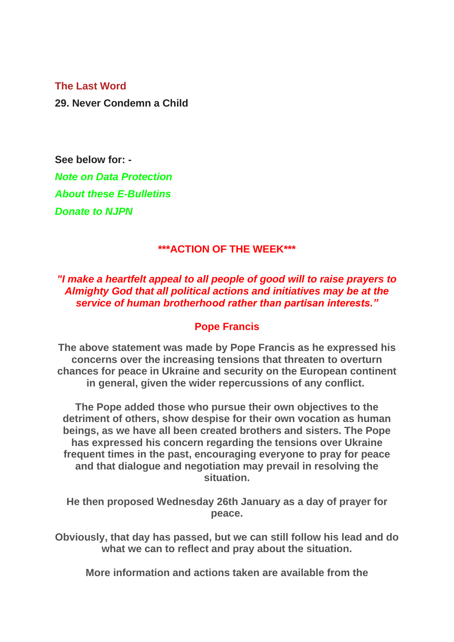### **The Last Word**

**29. Never Condemn a Child**

**See below for: -** *Note on Data Protection About these E-Bulletins Donate to NJPN*

### **\*\*\*ACTION OF THE WEEK\*\*\***

### *"I make a heartfelt appeal to all people of good will to raise prayers to Almighty God that all political actions and initiatives may be at the service of human brotherhood rather than partisan interests."*

### **Pope Francis**

**The above statement was made by Pope Francis as he expressed his concerns over the increasing tensions that threaten to overturn chances for peace in Ukraine and security on the European continent in general, given the wider repercussions of any conflict.**

**The Pope added those who pursue their own objectives to the detriment of others, show despise for their own vocation as human beings, as we have all been created brothers and sisters. The Pope has expressed his concern regarding the tensions over Ukraine frequent times in the past, encouraging everyone to pray for peace and that dialogue and negotiation may prevail in resolving the situation.**

**He then proposed Wednesday 26th January as a day of prayer for peace.**

**Obviously, that day has passed, but we can still follow his lead and do what we can to reflect and pray about the situation.**

**More information and actions taken are available from the**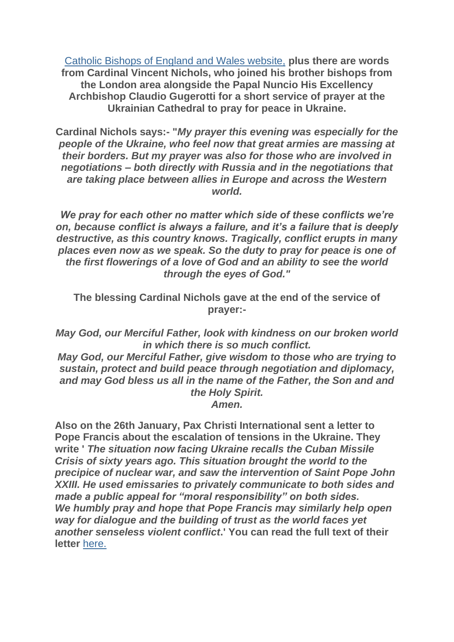[Catholic Bishops of England and Wales website,](https://justice-and-peace.us7.list-manage.com/track/click?u=43dc262537b1536e87dc04eca&id=7feef34c22&e=21ab98db78) **plus there are words from Cardinal Vincent Nichols, who joined his brother bishops from the London area alongside the Papal Nuncio His Excellency Archbishop Claudio Gugerotti for a short service of prayer at the Ukrainian Cathedral to pray for peace in Ukraine.**

**Cardinal Nichols says:- "***My prayer this evening was especially for the people of the Ukraine, who feel now that great armies are massing at their borders. But my prayer was also for those who are involved in negotiations – both directly with Russia and in the negotiations that are taking place between allies in Europe and across the Western world.*

*We pray for each other no matter which side of these conflicts we're on, because conflict is always a failure, and it's a failure that is deeply destructive, as this country knows. Tragically, conflict erupts in many places even now as we speak. So the duty to pray for peace is one of the first flowerings of a love of God and an ability to see the world through the eyes of God."*

**The blessing Cardinal Nichols gave at the end of the service of prayer:-**

*May God, our Merciful Father, look with kindness on our broken world in which there is so much conflict.*

*May God, our Merciful Father, give wisdom to those who are trying to sustain, protect and build peace through negotiation and diplomacy, and may God bless us all in the name of the Father, the Son and and the Holy Spirit. Amen.*

**Also on the 26th January, Pax Christi International sent a letter to Pope Francis about the escalation of tensions in the Ukraine. They write '** *The situation now facing Ukraine recalls the Cuban Missile Crisis of sixty years ago. This situation brought the world to the precipice of nuclear war, and saw the intervention of Saint Pope John XXIII. He used emissaries to privately communicate to both sides and made a public appeal for "moral responsibility" on both sides. We humbly pray and hope that Pope Francis may similarly help open way for dialogue and the building of trust as the world faces yet another senseless violent conflict***.' You can read the full text of their letter** [here.](https://justice-and-peace.us7.list-manage.com/track/click?u=43dc262537b1536e87dc04eca&id=f7b33841cb&e=21ab98db78)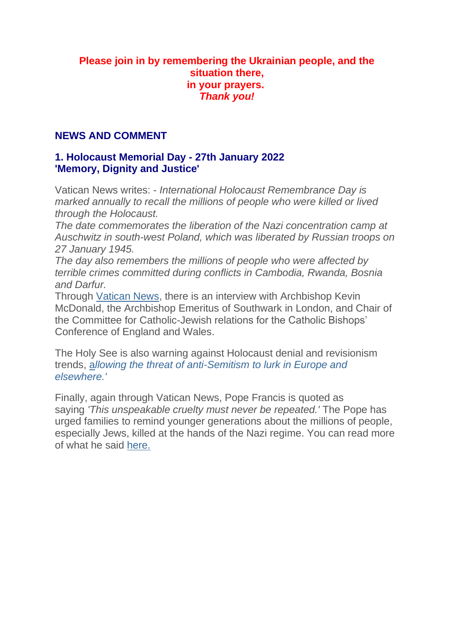### **Please join in by remembering the Ukrainian people, and the situation there, in your prayers.** *Thank you!*

### **NEWS AND COMMENT**

## **1. Holocaust Memorial Day - 27th January 2022 'Memory, Dignity and Justice'**

Vatican News writes: - *International Holocaust Remembrance Day is marked annually to recall the millions of people who were killed or lived through the Holocaust.*

*The date commemorates the liberation of the Nazi concentration camp at Auschwitz in south-west Poland, which was liberated by Russian troops on 27 January 1945.*

*The day also remembers the millions of people who were affected by terrible crimes committed during conflicts in Cambodia, Rwanda, Bosnia and Darfur.*

Through [Vatican News,](https://justice-and-peace.us7.list-manage.com/track/click?u=43dc262537b1536e87dc04eca&id=6cce80bac1&e=21ab98db78) there is an interview with Archbishop Kevin McDonald, the Archbishop Emeritus of Southwark in London, and Chair of the Committee for Catholic-Jewish relations for the Catholic Bishops' Conference of England and Wales.

The Holy See is also warning against Holocaust denial and revisionism trends, [a](https://justice-and-peace.us7.list-manage.com/track/click?u=43dc262537b1536e87dc04eca&id=451d5d0dfd&e=21ab98db78)*[llowing the threat of anti-Semitism](https://justice-and-peace.us7.list-manage.com/track/click?u=43dc262537b1536e87dc04eca&id=72c7ba7526&e=21ab98db78) to lurk in Europe and [elsewhere.'](https://justice-and-peace.us7.list-manage.com/track/click?u=43dc262537b1536e87dc04eca&id=72c7ba7526&e=21ab98db78)*

Finally, again through Vatican News, Pope Francis is quoted as saying *'This unspeakable cruelty must never be repeated.'* The Pope has urged families to remind younger generations about the millions of people, especially Jews, killed at the hands of the Nazi regime. You can read more of what he said [here.](https://justice-and-peace.us7.list-manage.com/track/click?u=43dc262537b1536e87dc04eca&id=3af274c62d&e=21ab98db78)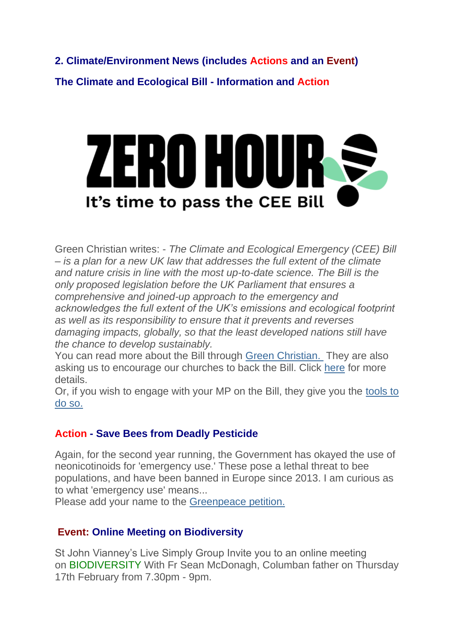**2. Climate/Environment News (includes Actions and an Event) The Climate and Ecological Bill - Information and Action**



Green Christian writes: - *The Climate and Ecological Emergency (CEE) Bill – is a plan for a new UK law that addresses the full extent of the climate and nature crisis in line with the most up-to-date science. The Bill is the only proposed legislation before the UK Parliament that ensures a comprehensive and joined-up approach to the emergency and acknowledges the full extent of the UK's emissions and ecological footprint as well as its responsibility to ensure that it prevents and reverses damaging impacts, globally, so that the least developed nations still have the chance to develop sustainably.*

You can read more about the Bill through [Green Christian.](https://justice-and-peace.us7.list-manage.com/track/click?u=43dc262537b1536e87dc04eca&id=edcaf86209&e=21ab98db78) They are also asking us to encourage our churches to back the Bill. Click [here](https://justice-and-peace.us7.list-manage.com/track/click?u=43dc262537b1536e87dc04eca&id=d7c70511b5&e=21ab98db78) for more details.

Or, if you wish to engage with your MP on the Bill, they give you the [tools to](https://justice-and-peace.us7.list-manage.com/track/click?u=43dc262537b1536e87dc04eca&id=7523c1e0c5&e=21ab98db78)  [do so.](https://justice-and-peace.us7.list-manage.com/track/click?u=43dc262537b1536e87dc04eca&id=7523c1e0c5&e=21ab98db78)

## **Action - Save Bees from Deadly Pesticide**

Again, for the second year running, the Government has okayed the use of neonicotinoids for 'emergency use.' These pose a lethal threat to bee populations, and have been banned in Europe since 2013. I am curious as to what 'emergency use' means...

Please add your name to the [Greenpeace petition.](https://justice-and-peace.us7.list-manage.com/track/click?u=43dc262537b1536e87dc04eca&id=cf58ef1420&e=21ab98db78)

## **Event: Online Meeting on Biodiversity**

St John Vianney's Live Simply Group Invite you to an online meeting on BIODIVERSITY With Fr Sean McDonagh, Columban father on Thursday 17th February from 7.30pm - 9pm.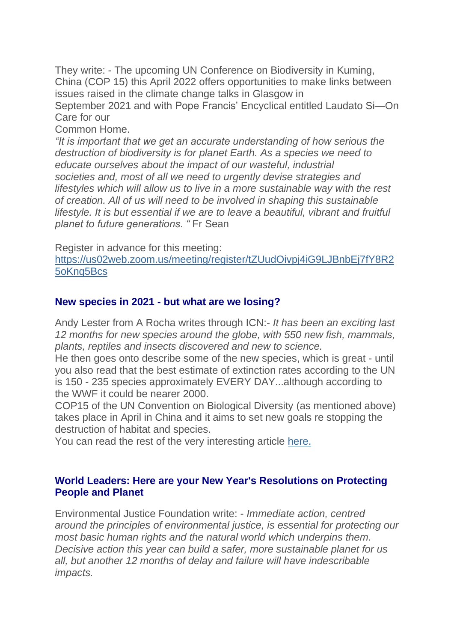They write: - The upcoming UN Conference on Biodiversity in Kuming, China (COP 15) this April 2022 offers opportunities to make links between issues raised in the climate change talks in Glasgow in September 2021 and with Pope Francis' Encyclical entitled Laudato Si—On Care for our Common Home. *"It is important that we get an accurate understanding of how serious the destruction of biodiversity is for planet Earth. As a species we need to* 

*educate ourselves about the impact of our wasteful, industrial societies and, most of all we need to urgently devise strategies and lifestyles which will allow us to live in a more sustainable way with the rest of creation. All of us will need to be involved in shaping this sustainable lifestyle. It is but essential if we are to leave a beautiful, vibrant and fruitful planet to future generations. "* Fr Sean

Register in advance for this meeting:

[https://us02web.zoom.us/meeting/register/tZUudOivpj4iG9LJBnbEj7fY8R2](https://justice-and-peace.us7.list-manage.com/track/click?u=43dc262537b1536e87dc04eca&id=7a4c3668ca&e=21ab98db78) [5oKnq5Bcs](https://justice-and-peace.us7.list-manage.com/track/click?u=43dc262537b1536e87dc04eca&id=7a4c3668ca&e=21ab98db78)

## **New species in 2021 - but what are we losing?**

Andy Lester from A Rocha writes through ICN:- *It has been an exciting last 12 months for new species around the globe, with 550 new fish, mammals, plants, reptiles and insects discovered and new to science.*

He then goes onto describe some of the new species, which is great - until you also read that the best estimate of extinction rates according to the UN is 150 - 235 species approximately EVERY DAY...although according to the WWF it could be nearer 2000.

COP15 of the UN Convention on Biological Diversity (as mentioned above) takes place in April in China and it aims to set new goals re stopping the destruction of habitat and species.

You can read the rest of the very interesting article [here.](https://justice-and-peace.us7.list-manage.com/track/click?u=43dc262537b1536e87dc04eca&id=4eb8e6b6d0&e=21ab98db78)

### **World Leaders: Here are your New Year's Resolutions on Protecting People and Planet**

Environmental Justice Foundation write: - *Immediate action, centred around the principles of environmental justice, is essential for protecting our most basic human rights and the natural world which underpins them. Decisive action this year can build a safer, more sustainable planet for us all, but another 12 months of delay and failure will have indescribable impacts.*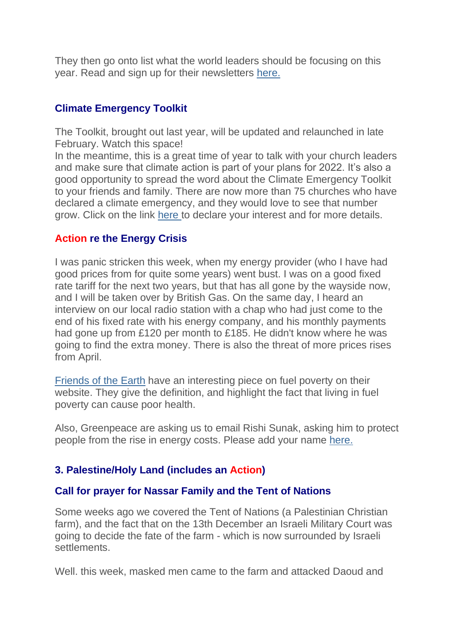They then go onto list what the world leaders should be focusing on this year. Read and sign up for their newsletters [here.](https://justice-and-peace.us7.list-manage.com/track/click?u=43dc262537b1536e87dc04eca&id=6d6757546d&e=21ab98db78)

### **Climate Emergency Toolkit**

The Toolkit, brought out last year, will be updated and relaunched in late February. Watch this space!

In the meantime, this is a great time of year to talk with your church leaders and make sure that climate action is part of your plans for 2022. It's also a good opportunity to spread the word about the Climate Emergency Toolkit to your friends and family. There are now more than 75 churches who have declared a climate emergency, and they would love to see that number grow. Click on the link [here](https://justice-and-peace.us7.list-manage.com/track/click?u=43dc262537b1536e87dc04eca&id=78f8c5275e&e=21ab98db78) to declare your interest and for more details.

### **Action re the Energy Crisis**

I was panic stricken this week, when my energy provider (who I have had good prices from for quite some years) went bust. I was on a good fixed rate tariff for the next two years, but that has all gone by the wayside now, and I will be taken over by British Gas. On the same day, I heard an interview on our local radio station with a chap who had just come to the end of his fixed rate with his energy company, and his monthly payments had gone up from £120 per month to £185. He didn't know where he was going to find the extra money. There is also the threat of more prices rises from April.

[Friends of the Earth](https://justice-and-peace.us7.list-manage.com/track/click?u=43dc262537b1536e87dc04eca&id=ac6c4b288a&e=21ab98db78) have an interesting piece on fuel poverty on their website. They give the definition, and highlight the fact that living in fuel poverty can cause poor health.

Also, Greenpeace are asking us to email Rishi Sunak, asking him to protect people from the rise in energy costs. Please add your name [here.](https://justice-and-peace.us7.list-manage.com/track/click?u=43dc262537b1536e87dc04eca&id=d4ffc8e103&e=21ab98db78)

### **3. Palestine/Holy Land (includes an Action)**

### **Call for prayer for Nassar Family and the Tent of Nations**

Some weeks ago we covered the Tent of Nations (a Palestinian Christian farm), and the fact that on the 13th December an Israeli Military Court was going to decide the fate of the farm - which is now surrounded by Israeli settlements.

Well. this week, masked men came to the farm and attacked Daoud and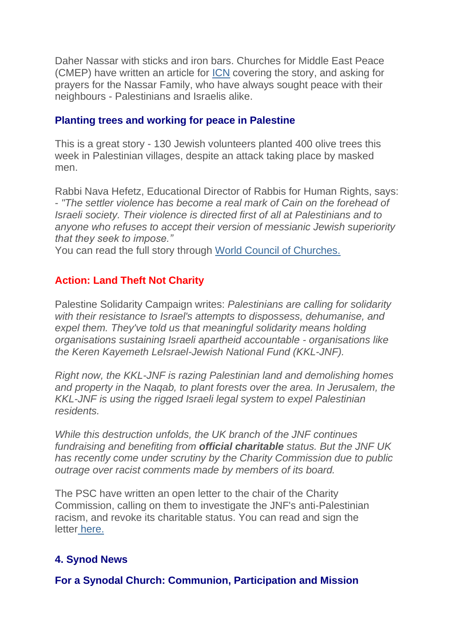Daher Nassar with sticks and iron bars. Churches for Middle East Peace (CMEP) have written an article for [ICN](https://justice-and-peace.us7.list-manage.com/track/click?u=43dc262537b1536e87dc04eca&id=cebd0b02c9&e=21ab98db78) covering the story, and asking for prayers for the Nassar Family, who have always sought peace with their neighbours - Palestinians and Israelis alike.

### **Planting trees and working for peace in Palestine**

This is a great story - 130 Jewish volunteers planted 400 olive trees this week in Palestinian villages, despite an attack taking place by masked men.

Rabbi Nava Hefetz, Educational Director of Rabbis for Human Rights, says: - *"The settler violence has become a real mark of Cain on the forehead of Israeli society. Their violence is directed first of all at Palestinians and to anyone who refuses to accept their version of messianic Jewish superiority that they seek to impose."*

You can read the full story through [World Council of Churches.](https://justice-and-peace.us7.list-manage.com/track/click?u=43dc262537b1536e87dc04eca&id=199fa10f4e&e=21ab98db78)

## **Action: Land Theft Not Charity**

Palestine Solidarity Campaign writes: *Palestinians are calling for solidarity with their resistance to Israel's attempts to dispossess, dehumanise, and expel them. They've told us that meaningful solidarity means holding organisations sustaining Israeli apartheid accountable - organisations like the Keren Kayemeth LeIsrael-Jewish National Fund (KKL-JNF).*

*Right now, the KKL-JNF is razing Palestinian land and demolishing homes and property in the Naqab, to plant forests over the area. In Jerusalem, the KKL-JNF is using the rigged Israeli legal system to expel Palestinian residents.*

*While this destruction unfolds, the UK branch of the JNF continues fundraising and benefiting from official charitable status. But the JNF UK has recently come under scrutiny by the Charity Commission due to public outrage over racist comments made by members of its board.*

The PSC have written an open letter to the chair of the Charity Commission, calling on them to investigate the JNF's anti-Palestinian racism, and revoke its charitable status. You can read and sign the letter [here.](https://justice-and-peace.us7.list-manage.com/track/click?u=43dc262537b1536e87dc04eca&id=5607552ed0&e=21ab98db78)

### **4. Synod News**

**For a Synodal Church: Communion, Participation and Mission**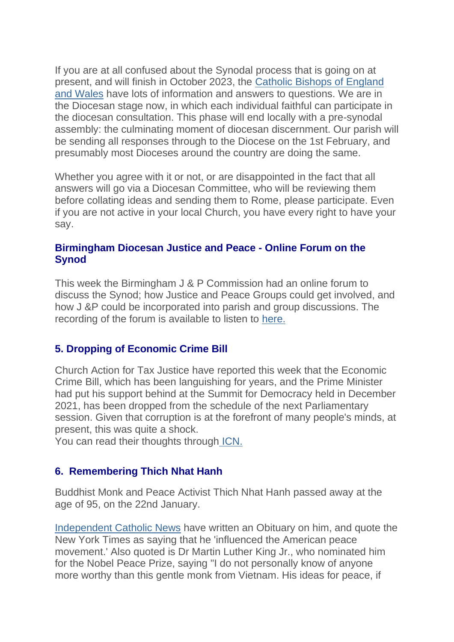If you are at all confused about the Synodal process that is going on at present, and will finish in October 2023, the [Catholic Bishops of England](https://justice-and-peace.us7.list-manage.com/track/click?u=43dc262537b1536e87dc04eca&id=9a9edb9472&e=21ab98db78)  [and Wales](https://justice-and-peace.us7.list-manage.com/track/click?u=43dc262537b1536e87dc04eca&id=9a9edb9472&e=21ab98db78) have lots of information and answers to questions. We are in the Diocesan stage now, in which each individual faithful can participate in the diocesan consultation. This phase will end locally with a pre-synodal assembly: the culminating moment of diocesan discernment. Our parish will be sending all responses through to the Diocese on the 1st February, and presumably most Dioceses around the country are doing the same.

Whether you agree with it or not, or are disappointed in the fact that all answers will go via a Diocesan Committee, who will be reviewing them before collating ideas and sending them to Rome, please participate. Even if you are not active in your local Church, you have every right to have your say.

### **Birmingham Diocesan Justice and Peace - Online Forum on the Synod**

This week the Birmingham J & P Commission had an online forum to discuss the Synod; how Justice and Peace Groups could get involved, and how J &P could be incorporated into parish and group discussions. The recording of the forum is available to listen to [here.](https://justice-and-peace.us7.list-manage.com/track/click?u=43dc262537b1536e87dc04eca&id=9c60b19976&e=21ab98db78)

## **5. Dropping of Economic Crime Bill**

Church Action for Tax Justice have reported this week that the Economic Crime Bill, which has been languishing for years, and the Prime Minister had put his support behind at the Summit for Democracy held in December 2021, has been dropped from the schedule of the next Parliamentary session. Given that corruption is at the forefront of many people's minds, at present, this was quite a shock.

You can read their thoughts through [ICN.](https://justice-and-peace.us7.list-manage.com/track/click?u=43dc262537b1536e87dc04eca&id=51777f6564&e=21ab98db78)

## **6. Remembering Thich Nhat Hanh**

Buddhist Monk and Peace Activist Thich Nhat Hanh passed away at the age of 95, on the 22nd January.

[Independent Catholic News](https://justice-and-peace.us7.list-manage.com/track/click?u=43dc262537b1536e87dc04eca&id=4069f3d416&e=21ab98db78) have written an Obituary on him, and quote the New York Times as saying that he 'influenced the American peace movement.' Also quoted is Dr Martin Luther King Jr., who nominated him for the Nobel Peace Prize, saying "I do not personally know of anyone more worthy than this gentle monk from Vietnam. His ideas for peace, if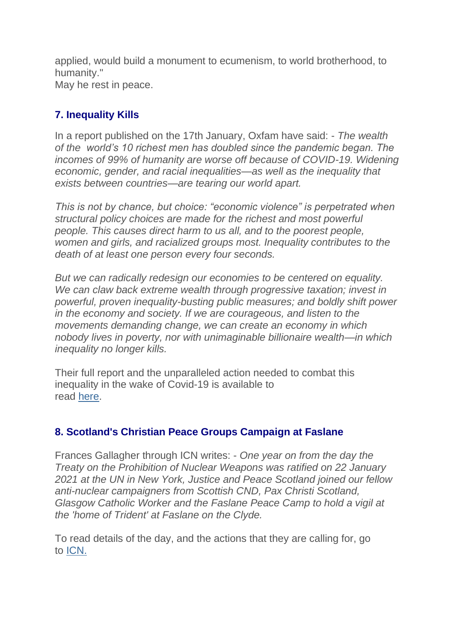applied, would build a monument to ecumenism, to world brotherhood, to humanity." May he rest in peace.

# **7. Inequality Kills**

In a report published on the 17th January, Oxfam have said: - *The wealth of the world's 10 richest men has doubled since the pandemic began. The incomes of 99% of humanity are worse off because of COVID-19. Widening economic, gender, and racial inequalities—as well as the inequality that exists between countries—are tearing our world apart.*

*This is not by chance, but choice: "economic violence" is perpetrated when structural policy choices are made for the richest and most powerful people. This causes direct harm to us all, and to the poorest people, women and girls, and racialized groups most. Inequality contributes to the death of at least one person every four seconds.*

*But we can radically redesign our economies to be centered on equality. We can claw back extreme wealth through progressive taxation; invest in powerful, proven inequality-busting public measures; and boldly shift power in the economy and society. If we are courageous, and listen to the movements demanding change, we can create an economy in which nobody lives in poverty, nor with unimaginable billionaire wealth—in which inequality no longer kills.*

Their full report and the unparalleled action needed to combat this inequality in the wake of Covid-19 is available to read [here.](https://justice-and-peace.us7.list-manage.com/track/click?u=43dc262537b1536e87dc04eca&id=a47135a674&e=21ab98db78)

# **8. Scotland's Christian Peace Groups Campaign at Faslane**

Frances Gallagher through ICN writes: - *One year on from the day the Treaty on the Prohibition of Nuclear Weapons was ratified on 22 January 2021 at the UN in New York, Justice and Peace Scotland joined our fellow anti-nuclear campaigners from Scottish CND, Pax Christi Scotland, Glasgow Catholic Worker and the Faslane Peace Camp to hold a vigil at the 'home of Trident' at Faslane on the Clyde.*

To read details of the day, and the actions that they are calling for, go to [ICN.](https://justice-and-peace.us7.list-manage.com/track/click?u=43dc262537b1536e87dc04eca&id=db97feb43b&e=21ab98db78)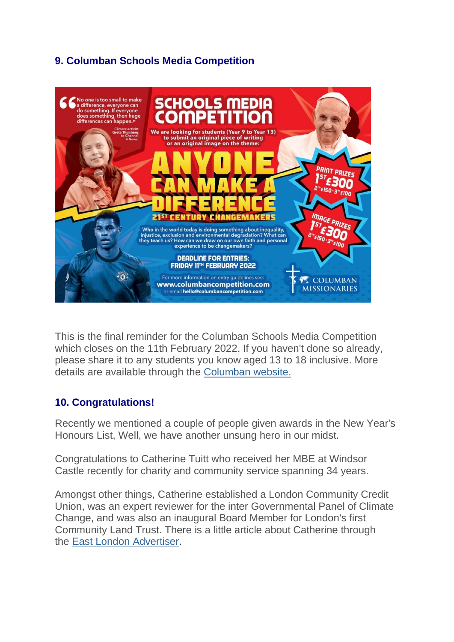# **9. Columban Schools Media Competition**



This is the final reminder for the Columban Schools Media Competition which closes on the 11th February 2022. If you haven't done so already, please share it to any students you know aged 13 to 18 inclusive. More details are available through the [Columban website.](https://justice-and-peace.us7.list-manage.com/track/click?u=43dc262537b1536e87dc04eca&id=abe33b9389&e=21ab98db78)

### **10. Congratulations!**

Recently we mentioned a couple of people given awards in the New Year's Honours List, Well, we have another unsung hero in our midst.

Congratulations to Catherine Tuitt who received her MBE at Windsor Castle recently for charity and community service spanning 34 years.

Amongst other things, Catherine established a London Community Credit Union, was an expert reviewer for the inter Governmental Panel of Climate Change, and was also an inaugural Board Member for London's first Community Land Trust. There is a little article about Catherine through the [East London Advertiser.](https://justice-and-peace.us7.list-manage.com/track/click?u=43dc262537b1536e87dc04eca&id=21e1e8089e&e=21ab98db78)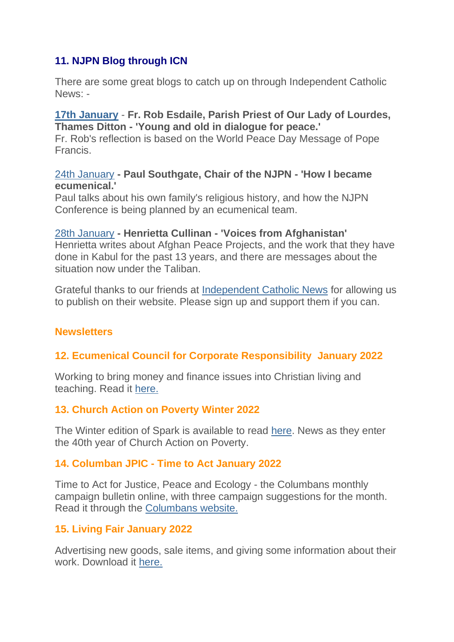# **11. NJPN Blog through ICN**

There are some great blogs to catch up on through Independent Catholic News: -

### **[17th January](https://justice-and-peace.us7.list-manage.com/track/click?u=43dc262537b1536e87dc04eca&id=a44dc50f5b&e=21ab98db78)** - **Fr. Rob Esdaile, Parish Priest of Our Lady of Lourdes, Thames Ditton - 'Young and old in dialogue for peace.'**

Fr. Rob's reflection is based on the World Peace Day Message of Pope Francis.

### [24th January](https://justice-and-peace.us7.list-manage.com/track/click?u=43dc262537b1536e87dc04eca&id=f9061f4d1b&e=21ab98db78) **- Paul Southgate, Chair of the NJPN - 'How I became ecumenical.'**

Paul talks about his own family's religious history, and how the NJPN Conference is being planned by an ecumenical team.

# [28th January](https://justice-and-peace.us7.list-manage.com/track/click?u=43dc262537b1536e87dc04eca&id=706faba5c2&e=21ab98db78) **- Henrietta Cullinan - 'Voices from Afghanistan'**

Henrietta writes about Afghan Peace Projects, and the work that they have done in Kabul for the past 13 years, and there are messages about the situation now under the Taliban.

Grateful thanks to our friends at [Independent Catholic News](https://justice-and-peace.us7.list-manage.com/track/click?u=43dc262537b1536e87dc04eca&id=3749ee0a70&e=21ab98db78) for allowing us to publish on their website. Please sign up and support them if you can.

## **Newsletters**

## **12. Ecumenical Council for Corporate Responsibility January 2022**

Working to bring money and finance issues into Christian living and teaching. Read it [here.](https://justice-and-peace.us7.list-manage.com/track/click?u=43dc262537b1536e87dc04eca&id=bfb16bdf36&e=21ab98db78)

### **13. Church Action on Poverty Winter 2022**

The Winter edition of Spark is available to read [here.](https://justice-and-peace.us7.list-manage.com/track/click?u=43dc262537b1536e87dc04eca&id=eab312ab82&e=21ab98db78) News as they enter the 40th year of Church Action on Poverty.

### **14. Columban JPIC - Time to Act January 2022**

Time to Act for Justice, Peace and Ecology - the Columbans monthly campaign bulletin online, with three campaign suggestions for the month. Read it through the [Columbans website.](https://justice-and-peace.us7.list-manage.com/track/click?u=43dc262537b1536e87dc04eca&id=1e4b4da79a&e=21ab98db78)

## **15. Living Fair January 2022**

Advertising new goods, sale items, and giving some information about their work. Download it [here.](https://justice-and-peace.us7.list-manage.com/track/click?u=43dc262537b1536e87dc04eca&id=3a8d9eb55a&e=21ab98db78)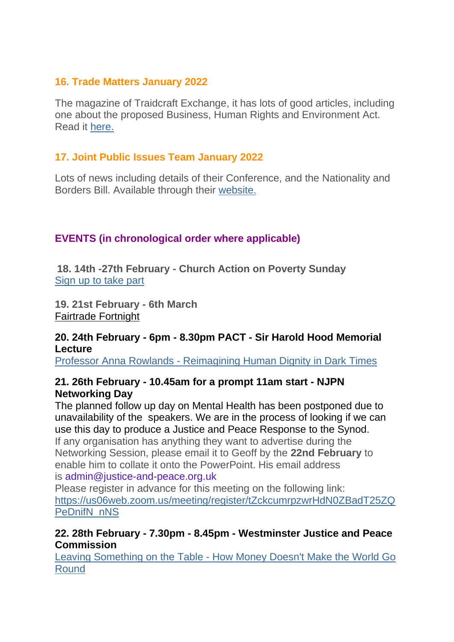## **16. Trade Matters January 2022**

The magazine of Traidcraft Exchange, it has lots of good articles, including one about the proposed Business, Human Rights and Environment Act. Read it [here.](https://justice-and-peace.us7.list-manage.com/track/click?u=43dc262537b1536e87dc04eca&id=fb8ac79cc7&e=21ab98db78)

# **17. Joint Public Issues Team January 2022**

Lots of news including details of their Conference, and the Nationality and Borders Bill. Available through their [website.](https://justice-and-peace.us7.list-manage.com/track/click?u=43dc262537b1536e87dc04eca&id=c083757730&e=21ab98db78)

# **EVENTS (in chronological order where applicable)**

**18. 14th -27th February - Church Action on Poverty Sunday** [Sign up to take part](https://justice-and-peace.us7.list-manage.com/track/click?u=43dc262537b1536e87dc04eca&id=adc9c9afef&e=21ab98db78)

**19. 21st February - 6th March** [Fairtrade Fortnight](https://justice-and-peace.us7.list-manage.com/track/click?u=43dc262537b1536e87dc04eca&id=f59a117da1&e=21ab98db78)

### **20. 24th February - 6pm - 8.30pm PACT - Sir Harold Hood Memorial Lecture**

Professor Anna Rowlands - [Reimagining Human Dignity in Dark Times](https://justice-and-peace.us7.list-manage.com/track/click?u=43dc262537b1536e87dc04eca&id=c9fb87499f&e=21ab98db78)

## **21. 26th February - 10.45am for a prompt 11am start - NJPN Networking Day**

The planned follow up day on Mental Health has been postponed due to unavailability of the speakers. We are in the process of looking if we can use this day to produce a Justice and Peace Response to the Synod. If any organisation has anything they want to advertise during the Networking Session, please email it to Geoff by the **22nd February** to enable him to collate it onto the PowerPoint. His email address is admin@justice-and-peace.org.uk

Please register in advance for this meeting on the following link: [https://us06web.zoom.us/meeting/register/tZckcumrpzwrHdN0ZBadT25ZQ](https://justice-and-peace.us7.list-manage.com/track/click?u=43dc262537b1536e87dc04eca&id=4d54bbbf85&e=21ab98db78) [PeDnifN\\_nNS](https://justice-and-peace.us7.list-manage.com/track/click?u=43dc262537b1536e87dc04eca&id=4d54bbbf85&e=21ab98db78)

## **22. 28th February - 7.30pm - 8.45pm - Westminster Justice and Peace Commission**

Leaving Something on the Table - [How Money Doesn't Make the World Go](https://justice-and-peace.us7.list-manage.com/track/click?u=43dc262537b1536e87dc04eca&id=a7e6045be9&e=21ab98db78)  [Round](https://justice-and-peace.us7.list-manage.com/track/click?u=43dc262537b1536e87dc04eca&id=a7e6045be9&e=21ab98db78)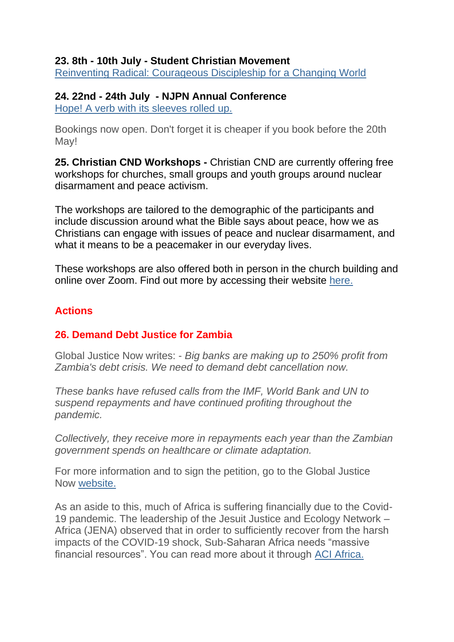### **23. 8th - 10th July - Student Christian Movement**

[Reinventing Radical: Courageous Discipleship for a Changing World](https://justice-and-peace.us7.list-manage.com/track/click?u=43dc262537b1536e87dc04eca&id=dcb1c20ef1&e=21ab98db78)

### **24. 22nd - 24th July - NJPN Annual Conference**

[Hope! A verb with its sleeves rolled up.](https://justice-and-peace.us7.list-manage.com/track/click?u=43dc262537b1536e87dc04eca&id=924fb1dd6e&e=21ab98db78)

Bookings now open. Don't forget it is cheaper if you book before the 20th May!

**25. Christian CND Workshops -** Christian CND are currently offering free workshops for churches, small groups and youth groups around nuclear disarmament and peace activism.

The workshops are tailored to the demographic of the participants and include discussion around what the Bible says about peace, how we as Christians can engage with issues of peace and nuclear disarmament, and what it means to be a peacemaker in our everyday lives.

These workshops are also offered both in person in the church building and online over Zoom. Find out more by accessing their website [here.](https://justice-and-peace.us7.list-manage.com/track/click?u=43dc262537b1536e87dc04eca&id=09756a78cd&e=21ab98db78)

## **Actions**

### **26. Demand Debt Justice for Zambia**

Global Justice Now writes: - *Big banks are making up to 250% profit from Zambia's debt crisis. We need to demand debt cancellation now.*

*These banks have refused calls from the IMF, World Bank and UN to suspend repayments and have continued profiting throughout the pandemic.*

*Collectively, they receive more in repayments each year than the Zambian government spends on healthcare or climate adaptation.*

For more information and to sign the petition, go to the Global Justice Now [website.](https://justice-and-peace.us7.list-manage.com/track/click?u=43dc262537b1536e87dc04eca&id=aecbb98b34&e=21ab98db78)

As an aside to this, much of Africa is suffering financially due to the Covid-19 pandemic. The leadership of the Jesuit Justice and Ecology Network – Africa (JENA) observed that in order to sufficiently recover from the harsh impacts of the COVID-19 shock, Sub-Saharan Africa needs "massive financial resources". You can read more about it through [ACI Africa.](https://justice-and-peace.us7.list-manage.com/track/click?u=43dc262537b1536e87dc04eca&id=3a7aea0ee6&e=21ab98db78)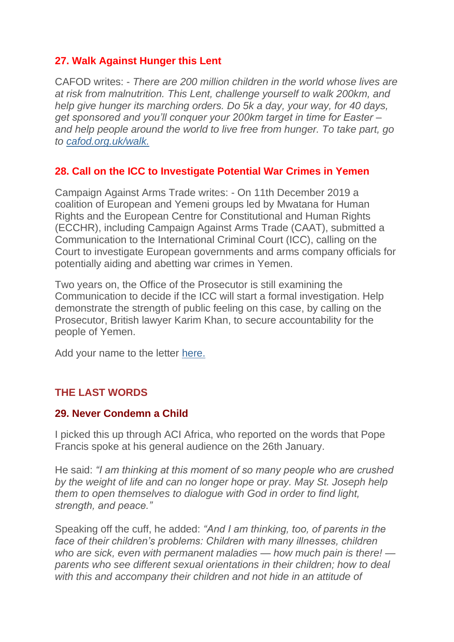## **27. Walk Against Hunger this Lent**

CAFOD writes: - *There are 200 million children in the world whose lives are at risk from malnutrition. This Lent, challenge yourself to walk 200km, and help give hunger its marching orders. Do 5k a day, your way, for 40 days, get sponsored and you'll conquer your 200km target in time for Easter – and help people around the world to live free from hunger. To take part, go to [cafod.org.uk/walk.](https://justice-and-peace.us7.list-manage.com/track/click?u=43dc262537b1536e87dc04eca&id=55709bac3f&e=21ab98db78)*

## **28. Call on the ICC to Investigate Potential War Crimes in Yemen**

Campaign Against Arms Trade writes: - On 11th December 2019 a coalition of European and Yemeni groups led by Mwatana for Human Rights and the European Centre for Constitutional and Human Rights (ECCHR), including Campaign Against Arms Trade (CAAT), submitted a Communication to the International Criminal Court (ICC), calling on the Court to investigate European governments and arms company officials for potentially aiding and abetting war crimes in Yemen.

Two years on, the Office of the Prosecutor is still examining the Communication to decide if the ICC will start a formal investigation. Help demonstrate the strength of public feeling on this case, by calling on the Prosecutor, British lawyer Karim Khan, to secure accountability for the people of Yemen.

Add your name to the letter [here.](https://justice-and-peace.us7.list-manage.com/track/click?u=43dc262537b1536e87dc04eca&id=be5c04e571&e=21ab98db78)

# **THE LAST WORDS**

### **29. Never Condemn a Child**

I picked this up through ACI Africa, who reported on the words that Pope Francis spoke at his general audience on the 26th January.

He said: *"I am thinking at this moment of so many people who are crushed by the weight of life and can no longer hope or pray. May St. Joseph help them to open themselves to dialogue with God in order to find light, strength, and peace."*

Speaking off the cuff, he added: *"And I am thinking, too, of parents in the face of their children's problems: Children with many illnesses, children who are sick, even with permanent maladies — how much pain is there! parents who see different sexual orientations in their children; how to deal with this and accompany their children and not hide in an attitude of*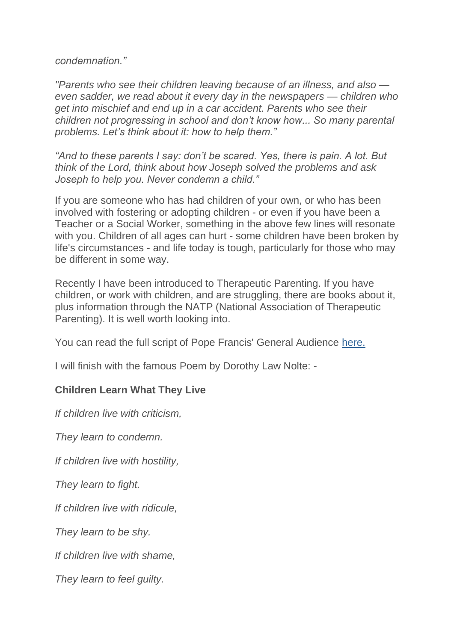*condemnation."*

*"Parents who see their children leaving because of an illness, and also even sadder, we read about it every day in the newspapers — children who get into mischief and end up in a car accident. Parents who see their children not progressing in school and don't know how... So many parental problems. Let's think about it: how to help them."*

*"And to these parents I say: don't be scared. Yes, there is pain. A lot. But think of the Lord, think about how Joseph solved the problems and ask Joseph to help you. Never condemn a child."*

If you are someone who has had children of your own, or who has been involved with fostering or adopting children - or even if you have been a Teacher or a Social Worker, something in the above few lines will resonate with you. Children of all ages can hurt - some children have been broken by life's circumstances - and life today is tough, particularly for those who may be different in some way.

Recently I have been introduced to Therapeutic Parenting. If you have children, or work with children, and are struggling, there are books about it, plus information through the NATP (National Association of Therapeutic Parenting). It is well worth looking into.

You can read the full script of Pope Francis' General Audience [here.](https://justice-and-peace.us7.list-manage.com/track/click?u=43dc262537b1536e87dc04eca&id=2f873a0d57&e=21ab98db78)

I will finish with the famous Poem by Dorothy Law Nolte: -

### **Children Learn What They Live**

*If children live with criticism,*

*They learn to condemn.*

*If children live with hostility,*

*They learn to fight.*

*If children live with ridicule,*

*They learn to be shy.*

*If children live with shame,*

*They learn to feel guilty.*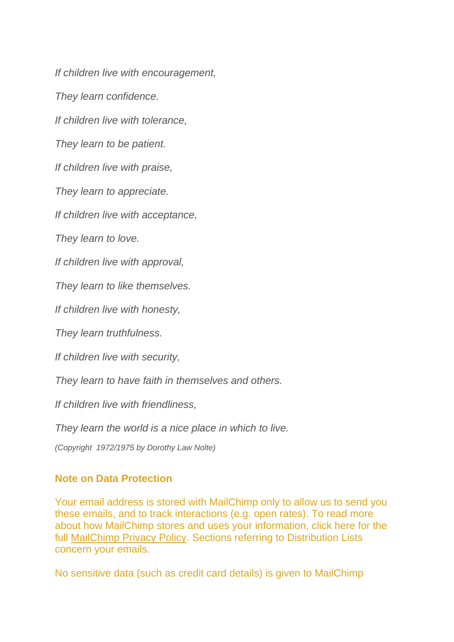*If children live with encouragement,*

*They learn confidence.*

*If children live with tolerance,*

*They learn to be patient.*

*If children live with praise,*

*They learn to appreciate.*

*If children live with acceptance,*

*They learn to love.*

*If children live with approval,*

*They learn to like themselves.*

*If children live with honesty,*

*They learn truthfulness.*

*If children live with security,*

*They learn to have faith in themselves and others.*

*If children live with friendliness,*

*They learn the world is a nice place in which to live.*

*(Copyright 1972/1975 by Dorothy Law Nolte)*

### **Note on Data Protection**

Your email address is stored with MailChimp only to allow us to send you these emails, and to track interactions (e.g. open rates). To read more about how MailChimp stores and uses your information, click here for the full [MailChimp Privacy Policy.](https://justice-and-peace.us7.list-manage.com/track/click?u=43dc262537b1536e87dc04eca&id=b12093f926&e=21ab98db78) Sections referring to Distribution Lists concern your emails.

No sensitive data (such as credit card details) is given to MailChimp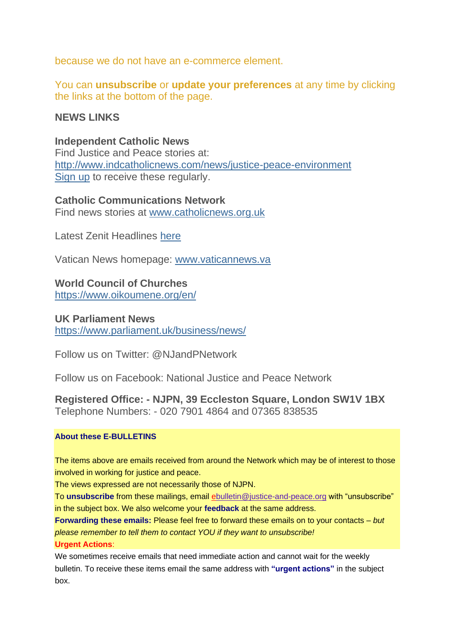because we do not have an e-commerce element.

You can **unsubscribe** or **update your preferences** at any time by clicking the links at the bottom of the page.

### **NEWS LINKS**

### **Independent Catholic News**

Find Justice and Peace stories at: [http://www.indcatholicnews.com/news/justice-peace-environment](https://justice-and-peace.us7.list-manage.com/track/click?u=43dc262537b1536e87dc04eca&id=571733aaa1&e=21ab98db78) [Sign up](https://justice-and-peace.us7.list-manage.com/track/click?u=43dc262537b1536e87dc04eca&id=cb98e33d01&e=21ab98db78) to receive these regularly.

### **Catholic Communications Network**

Find news stories at [www.catholicnews.org.uk](https://justice-and-peace.us7.list-manage.com/track/click?u=43dc262537b1536e87dc04eca&id=0a18a7eaf3&e=21ab98db78)

Latest Zenit Headlines [here](https://justice-and-peace.us7.list-manage.com/track/click?u=43dc262537b1536e87dc04eca&id=e2a2103bc1&e=21ab98db78)

Vatican News homepage: [www.vaticannews.va](https://justice-and-peace.us7.list-manage.com/track/click?u=43dc262537b1536e87dc04eca&id=51e9914b9d&e=21ab98db78)

### **World Council of Churches**

[https://www.oikoumene.org/en/](https://justice-and-peace.us7.list-manage.com/track/click?u=43dc262537b1536e87dc04eca&id=9f82e7711f&e=21ab98db78)

### **UK Parliament News**

[https://www.parliament.uk/business/news/](https://justice-and-peace.us7.list-manage.com/track/click?u=43dc262537b1536e87dc04eca&id=fea2536572&e=21ab98db78)

Follow us on Twitter: @NJandPNetwork

Follow us on Facebook: National Justice and Peace Network

**Registered Office: - NJPN, 39 Eccleston Square, London SW1V 1BX** Telephone Numbers: - 020 7901 4864 and 07365 838535

### **About these E-BULLETINS**

The items above are emails received from around the Network which may be of interest to those involved in working for justice and peace.

The views expressed are not necessarily those of NJPN.

To **unsubscribe** from these mailings, email [eb](mailto:admin@justice-and-peace.org.uk)ulletin@justice-and-peace.org with "unsubscribe" in the subject box. We also welcome your **feedback** at the same address.

**Forwarding these emails:** Please feel free to forward these emails on to your contacts – *but please remember to tell them to contact YOU if they want to unsubscribe!*

### **Urgent Actions**:

We sometimes receive emails that need immediate action and cannot wait for the weekly bulletin. To receive these items email the same address with **"urgent actions"** in the subject box.